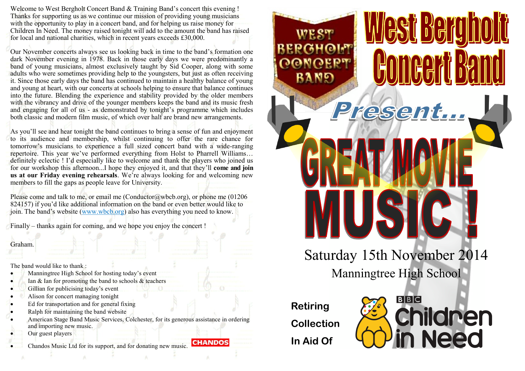Welcome to West Bergholt Concert Band & Training Band's concert this evening ! Thanks for supporting us as we continue our mission of providing young musicians with the opportunity to play in a concert band, and for helping us raise money for Children In Need. The money raised tonight will add to the amount the band has raised for local and national charities, which in recent years exceeds £30,000.

Our November concerts always see us looking back in time to the band's formation one dark November evening in 1978. Back in those early days we were predominantly a band of young musicians, almost exclusively taught by Sid Cooper, along with some adults who were sometimes providing help to the youngsters, but just as often receiving it. Since those early days the band has continued to maintain a healthy balance of young and young at heart, with our concerts at schools helping to ensure that balance continues into the future. Blending the experience and stability provided by the older members with the vibrancy and drive of the younger members keeps the band and its music fresh and engaging for all of us - as demonstrated by tonight's programme which includes both classic and modern film music, of which over half are brand new arrangements.

As you'll see and hear tonight the band continues to bring a sense of fun and enjoyment to its audience and membership, whilst continuing to offer the rare chance for tomorrow's musicians to experience a full sized concert band with a wide-ranging repertoire. This year we've performed everything from Holst to Pharrell Williams… definitely eclectic ! I'd especially like to welcome and thank the players who joined us for our workshop this afternoon...I hope they enjoyed it, and that they'll **come and join us at our Friday evening rehearsals**. We're always looking for and welcoming new members to fill the gaps as people leave for University.

Please come and talk to me, or email me (Conductor@wbcb.org), or phone me  $(01206$ 824157) if you'd like additional information on the band or even better would like to join. The band's website (www.wbcb.org) also has everything you need to know.

Finally – thanks again for coming, and we hope you enjoy the concert !

## Graham.

The band would like to thank :

- Manningtree High School for hosting today's event
- Ian  $\&$  Ian for promoting the band to schools  $\&$  teachers
- Gillian for publicising today's event
- Alison for concert managing tonight
- Ed for transportation and for general fixing
- Ralph for maintaining the band website
- American Stage Band Music Services, Colchester, for its generous assistance in ordering and importing new music.
- Our guest players
- Chandos Music Ltd for its support, and for donating new music. **CHANDOS**